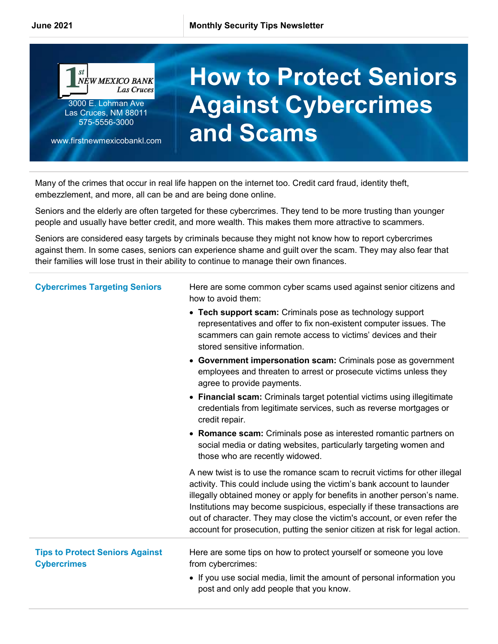

www.firstnewmexicobankl.com

## How to Protect Seniors Against Cybercrimes and Scams

Many of the crimes that occur in real life happen on the internet too. Credit card fraud, identity theft, embezzlement, and more, all can be and are being done online.

Seniors and the elderly are often targeted for these cybercrimes. They tend to be more trusting than younger people and usually have better credit, and more wealth. This makes them more attractive to scammers.

Seniors are considered easy targets by criminals because they might not know how to report cybercrimes against them. In some cases, seniors can experience shame and guilt over the scam. They may also fear that their families will lose trust in their ability to continue to manage their own finances.

| <b>Cybercrimes Targeting Seniors</b>                         | Here are some common cyber scams used against senior citizens and<br>how to avoid them:                                                                                                                                                                                                                                                                                                                                                                                     |
|--------------------------------------------------------------|-----------------------------------------------------------------------------------------------------------------------------------------------------------------------------------------------------------------------------------------------------------------------------------------------------------------------------------------------------------------------------------------------------------------------------------------------------------------------------|
|                                                              | • Tech support scam: Criminals pose as technology support<br>representatives and offer to fix non-existent computer issues. The<br>scammers can gain remote access to victims' devices and their<br>stored sensitive information.                                                                                                                                                                                                                                           |
|                                                              | • Government impersonation scam: Criminals pose as government<br>employees and threaten to arrest or prosecute victims unless they<br>agree to provide payments.                                                                                                                                                                                                                                                                                                            |
|                                                              | • Financial scam: Criminals target potential victims using illegitimate<br>credentials from legitimate services, such as reverse mortgages or<br>credit repair.                                                                                                                                                                                                                                                                                                             |
|                                                              | • Romance scam: Criminals pose as interested romantic partners on<br>social media or dating websites, particularly targeting women and<br>those who are recently widowed.                                                                                                                                                                                                                                                                                                   |
|                                                              | A new twist is to use the romance scam to recruit victims for other illegal<br>activity. This could include using the victim's bank account to launder<br>illegally obtained money or apply for benefits in another person's name.<br>Institutions may become suspicious, especially if these transactions are<br>out of character. They may close the victim's account, or even refer the<br>account for prosecution, putting the senior citizen at risk for legal action. |
| <b>Tips to Protect Seniors Against</b><br><b>Cybercrimes</b> | Here are some tips on how to protect yourself or someone you love<br>from cybercrimes:                                                                                                                                                                                                                                                                                                                                                                                      |
|                                                              | • If you use social media, limit the amount of personal information you<br>post and only add people that you know.                                                                                                                                                                                                                                                                                                                                                          |